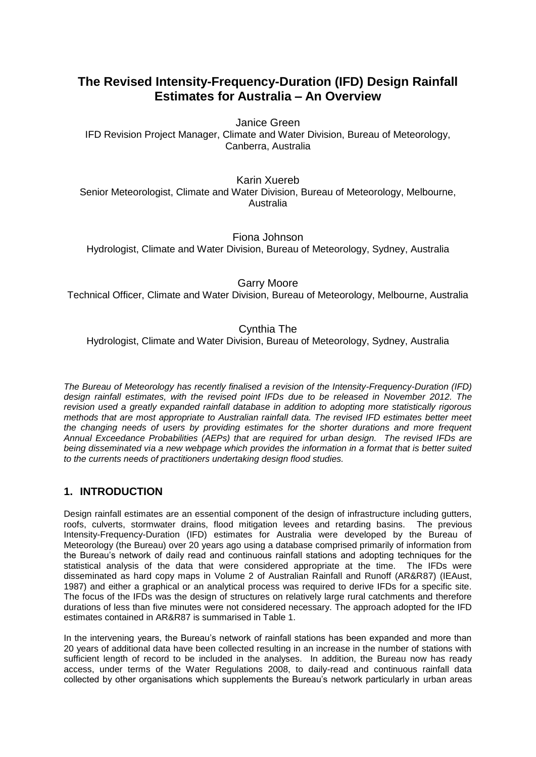# **The Revised Intensity-Frequency-Duration (IFD) Design Rainfall Estimates for Australia – An Overview**

Janice Green IFD Revision Project Manager, Climate and Water Division, Bureau of Meteorology, Canberra, Australia

Karin Xuereb Senior Meteorologist, Climate and Water Division, Bureau of Meteorology, Melbourne, Australia

Fiona Johnson Hydrologist, Climate and Water Division, Bureau of Meteorology, Sydney, Australia

Garry Moore

Technical Officer, Climate and Water Division, Bureau of Meteorology, Melbourne, Australia

# Cynthia The

Hydrologist, Climate and Water Division, Bureau of Meteorology, Sydney, Australia

*The Bureau of Meteorology has recently finalised a revision of the Intensity-Frequency-Duration (IFD) design rainfall estimates, with the revised point IFDs due to be released in November 2012. The revision used a greatly expanded rainfall database in addition to adopting more statistically rigorous methods that are most appropriate to Australian rainfall data. The revised IFD estimates better meet the changing needs of users by providing estimates for the shorter durations and more frequent Annual Exceedance Probabilities (AEPs) that are required for urban design. The revised IFDs are being disseminated via a new webpage which provides the information in a format that is better suited to the currents needs of practitioners undertaking design flood studies.*

## **1. INTRODUCTION**

Design rainfall estimates are an essential component of the design of infrastructure including gutters, roofs, culverts, stormwater drains, flood mitigation levees and retarding basins. The previous Intensity-Frequency-Duration (IFD) estimates for Australia were developed by the Bureau of Meteorology (the Bureau) over 20 years ago using a database comprised primarily of information from the Bureau's network of daily read and continuous rainfall stations and adopting techniques for the statistical analysis of the data that were considered appropriate at the time. The IFDs were disseminated as hard copy maps in Volume 2 of Australian Rainfall and Runoff (AR&R87) (IEAust, 1987) and either a graphical or an analytical process was required to derive IFDs for a specific site. The focus of the IFDs was the design of structures on relatively large rural catchments and therefore durations of less than five minutes were not considered necessary. The approach adopted for the IFD estimates contained in AR&R87 is summarised in Table 1.

In the intervening years, the Bureau's network of rainfall stations has been expanded and more than 20 years of additional data have been collected resulting in an increase in the number of stations with sufficient length of record to be included in the analyses. In addition, the Bureau now has ready access, under terms of the Water Regulations 2008, to daily-read and continuous rainfall data collected by other organisations which supplements the Bureau's network particularly in urban areas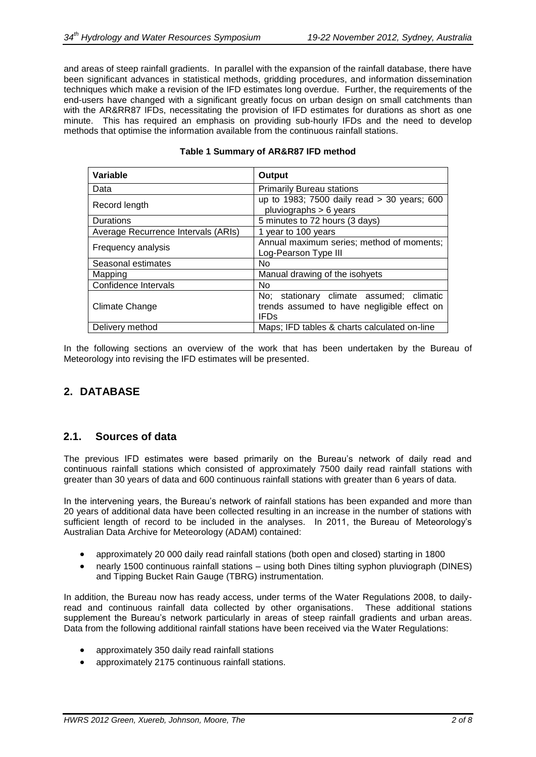and areas of steep rainfall gradients. In parallel with the expansion of the rainfall database, there have been significant advances in statistical methods, gridding procedures, and information dissemination techniques which make a revision of the IFD estimates long overdue. Further, the requirements of the end-users have changed with a significant greatly focus on urban design on small catchments than with the AR&RR87 IFDs, necessitating the provision of IFD estimates for durations as short as one minute. This has required an emphasis on providing sub-hourly IFDs and the need to develop methods that optimise the information available from the continuous rainfall stations.

| Variable                            | Output                                                                                                            |
|-------------------------------------|-------------------------------------------------------------------------------------------------------------------|
| Data                                | <b>Primarily Bureau stations</b>                                                                                  |
| Record length                       | up to 1983; 7500 daily read > 30 years; 600<br>pluviographs $> 6$ years                                           |
| <b>Durations</b>                    | 5 minutes to 72 hours (3 days)                                                                                    |
| Average Recurrence Intervals (ARIs) | 1 year to 100 years                                                                                               |
| Frequency analysis                  | Annual maximum series; method of moments;<br>Log-Pearson Type III                                                 |
| Seasonal estimates                  | No.                                                                                                               |
| Mapping                             | Manual drawing of the isohyets                                                                                    |
| Confidence Intervals                | N <sub>0</sub>                                                                                                    |
| Climate Change                      | No; stationary climate assumed; climatic<br>trends assumed to have negligible effect on<br><b>IFD<sub>s</sub></b> |
| Delivery method                     | Maps; IFD tables & charts calculated on-line                                                                      |

#### **Table 1 Summary of AR&R87 IFD method**

In the following sections an overview of the work that has been undertaken by the Bureau of Meteorology into revising the IFD estimates will be presented.

## **2. DATABASE**

## **2.1. Sources of data**

The previous IFD estimates were based primarily on the Bureau's network of daily read and continuous rainfall stations which consisted of approximately 7500 daily read rainfall stations with greater than 30 years of data and 600 continuous rainfall stations with greater than 6 years of data.

In the intervening years, the Bureau's network of rainfall stations has been expanded and more than 20 years of additional data have been collected resulting in an increase in the number of stations with sufficient length of record to be included in the analyses. In 2011, the Bureau of Meteorology's Australian Data Archive for Meteorology (ADAM) contained:

- approximately 20 000 daily read rainfall stations (both open and closed) starting in 1800
- nearly 1500 continuous rainfall stations using both Dines tilting syphon pluviograph (DINES) and Tipping Bucket Rain Gauge (TBRG) instrumentation.

In addition, the Bureau now has ready access, under terms of the Water Regulations 2008, to dailyread and continuous rainfall data collected by other organisations. These additional stations supplement the Bureau's network particularly in areas of steep rainfall gradients and urban areas. Data from the following additional rainfall stations have been received via the Water Regulations:

- approximately 350 daily read rainfall stations
- approximately 2175 continuous rainfall stations.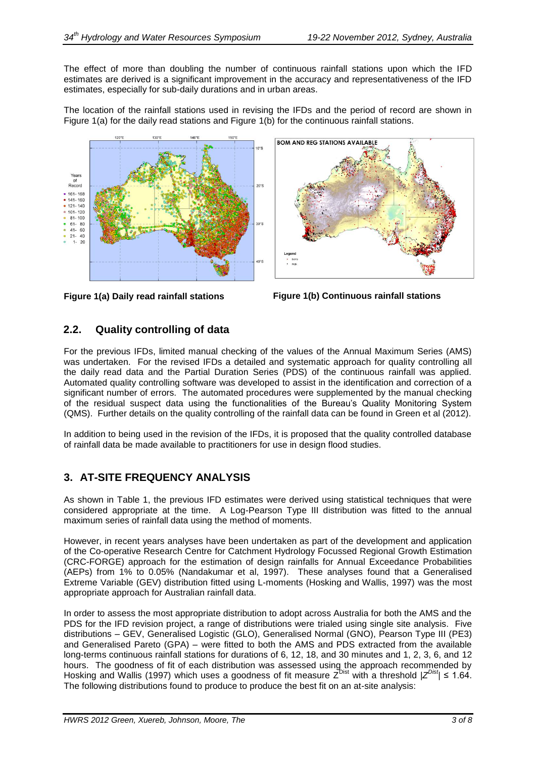The effect of more than doubling the number of continuous rainfall stations upon which the IFD estimates are derived is a significant improvement in the accuracy and representativeness of the IFD estimates, especially for sub-daily durations and in urban areas.

The location of the rainfall stations used in revising the IFDs and the period of record are shown in Figure 1(a) for the daily read stations and Figure 1(b) for the continuous rainfall stations.





**Figure 1(a) Daily read rainfall stations Figure 1(b) Continuous rainfall stations**

# **2.2. Quality controlling of data**

For the previous IFDs, limited manual checking of the values of the Annual Maximum Series (AMS) was undertaken. For the revised IFDs a detailed and systematic approach for quality controlling all the daily read data and the Partial Duration Series (PDS) of the continuous rainfall was applied. Automated quality controlling software was developed to assist in the identification and correction of a significant number of errors. The automated procedures were supplemented by the manual checking of the residual suspect data using the functionalities of the Bureau's Quality Monitoring System (QMS). Further details on the quality controlling of the rainfall data can be found in Green et al (2012).

In addition to being used in the revision of the IFDs, it is proposed that the quality controlled database of rainfall data be made available to practitioners for use in design flood studies.

# **3. AT-SITE FREQUENCY ANALYSIS**

As shown in Table 1, the previous IFD estimates were derived using statistical techniques that were considered appropriate at the time. A Log-Pearson Type III distribution was fitted to the annual maximum series of rainfall data using the method of moments.

However, in recent years analyses have been undertaken as part of the development and application of the Co-operative Research Centre for Catchment Hydrology Focussed Regional Growth Estimation (CRC-FORGE) approach for the estimation of design rainfalls for Annual Exceedance Probabilities (AEPs) from 1% to 0.05% (Nandakumar et al, 1997). These analyses found that a Generalised Extreme Variable (GEV) distribution fitted using L-moments (Hosking and Wallis, 1997) was the most appropriate approach for Australian rainfall data.

In order to assess the most appropriate distribution to adopt across Australia for both the AMS and the PDS for the IFD revision project, a range of distributions were trialed using single site analysis. Five distributions – GEV, Generalised Logistic (GLO), Generalised Normal (GNO), Pearson Type III (PE3) and Generalised Pareto (GPA) – were fitted to both the AMS and PDS extracted from the available long-terms continuous rainfall stations for durations of 6, 12, 18, and 30 minutes and 1, 2, 3, 6, and 12 hours. The goodness of fit of each distribution was assessed using the approach recommended by Hosking and Wallis (1997) which uses a goodness of fit measure Z<sup>Dist</sup> with a threshold |Z<sup>Dist</sup>| ≤ 1.64. The following distributions found to produce to produce the best fit on an at-site analysis: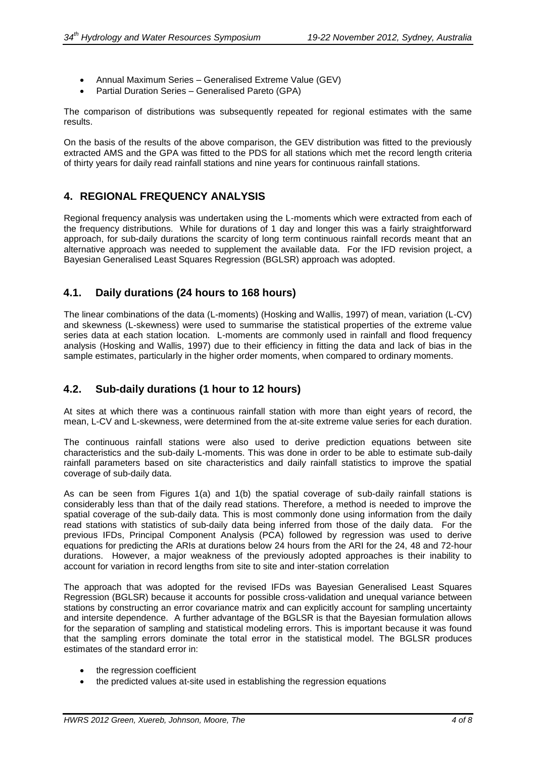- Annual Maximum Series Generalised Extreme Value (GEV)
- Partial Duration Series Generalised Pareto (GPA)

The comparison of distributions was subsequently repeated for regional estimates with the same results.

On the basis of the results of the above comparison, the GEV distribution was fitted to the previously extracted AMS and the GPA was fitted to the PDS for all stations which met the record length criteria of thirty years for daily read rainfall stations and nine years for continuous rainfall stations.

## **4. REGIONAL FREQUENCY ANALYSIS**

Regional frequency analysis was undertaken using the L-moments which were extracted from each of the frequency distributions. While for durations of 1 day and longer this was a fairly straightforward approach, for sub-daily durations the scarcity of long term continuous rainfall records meant that an alternative approach was needed to supplement the available data. For the IFD revision project, a Bayesian Generalised Least Squares Regression (BGLSR) approach was adopted.

## **4.1. Daily durations (24 hours to 168 hours)**

The linear combinations of the data (L-moments) (Hosking and Wallis, 1997) of mean, variation (L-CV) and skewness (L-skewness) were used to summarise the statistical properties of the extreme value series data at each station location. L-moments are commonly used in rainfall and flood frequency analysis (Hosking and Wallis, 1997) due to their efficiency in fitting the data and lack of bias in the sample estimates, particularly in the higher order moments, when compared to ordinary moments.

## **4.2. Sub-daily durations (1 hour to 12 hours)**

At sites at which there was a continuous rainfall station with more than eight years of record, the mean, L-CV and L-skewness, were determined from the at-site extreme value series for each duration.

The continuous rainfall stations were also used to derive prediction equations between site characteristics and the sub-daily L-moments. This was done in order to be able to estimate sub-daily rainfall parameters based on site characteristics and daily rainfall statistics to improve the spatial coverage of sub-daily data.

As can be seen from Figures 1(a) and 1(b) the spatial coverage of sub-daily rainfall stations is considerably less than that of the daily read stations. Therefore, a method is needed to improve the spatial coverage of the sub-daily data. This is most commonly done using information from the daily read stations with statistics of sub-daily data being inferred from those of the daily data. For the previous IFDs, Principal Component Analysis (PCA) followed by regression was used to derive equations for predicting the ARIs at durations below 24 hours from the ARI for the 24, 48 and 72-hour durations. However, a major weakness of the previously adopted approaches is their inability to account for variation in record lengths from site to site and inter-station correlation

The approach that was adopted for the revised IFDs was Bayesian Generalised Least Squares Regression (BGLSR) because it accounts for possible cross-validation and unequal variance between stations by constructing an error covariance matrix and can explicitly account for sampling uncertainty and intersite dependence. A further advantage of the BGLSR is that the Bayesian formulation allows for the separation of sampling and statistical modeling errors. This is important because it was found that the sampling errors dominate the total error in the statistical model. The BGLSR produces estimates of the standard error in:

- the regression coefficient
- the predicted values at-site used in establishing the regression equations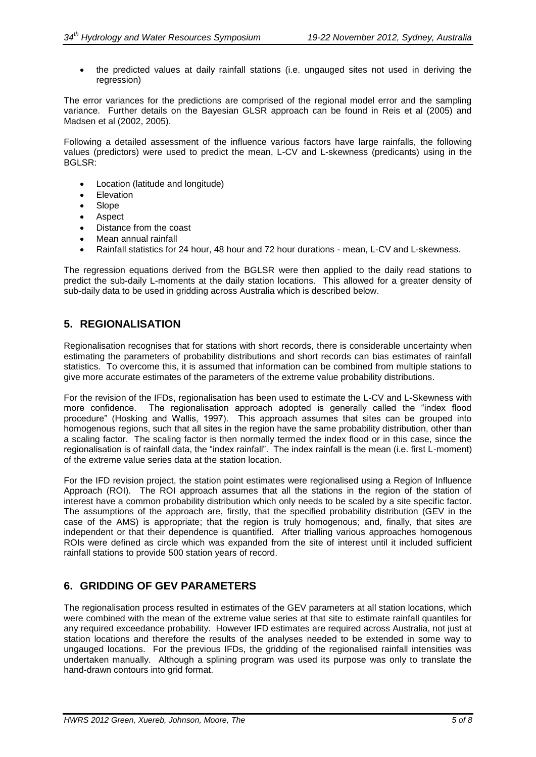• the predicted values at daily rainfall stations (i.e. ungauged sites not used in deriving the regression)

The error variances for the predictions are comprised of the regional model error and the sampling variance. Further details on the Bayesian GLSR approach can be found in Reis et al (2005) and Madsen et al (2002, 2005).

Following a detailed assessment of the influence various factors have large rainfalls, the following values (predictors) were used to predict the mean, L-CV and L-skewness (predicants) using in the BGLSR:

- Location (latitude and longitude)
- Elevation
- Slope
- Aspect
- Distance from the coast
- Mean annual rainfall
- Rainfall statistics for 24 hour, 48 hour and 72 hour durations mean, L-CV and L-skewness.

The regression equations derived from the BGLSR were then applied to the daily read stations to predict the sub-daily L-moments at the daily station locations. This allowed for a greater density of sub-daily data to be used in gridding across Australia which is described below.

#### **5. REGIONALISATION**

Regionalisation recognises that for stations with short records, there is considerable uncertainty when estimating the parameters of probability distributions and short records can bias estimates of rainfall statistics. To overcome this, it is assumed that information can be combined from multiple stations to give more accurate estimates of the parameters of the extreme value probability distributions.

For the revision of the IFDs, regionalisation has been used to estimate the L-CV and L-Skewness with more confidence. The regionalisation approach adopted is generally called the "index flood procedure" (Hosking and Wallis, 1997). This approach assumes that sites can be grouped into homogenous regions, such that all sites in the region have the same probability distribution, other than a scaling factor. The scaling factor is then normally termed the index flood or in this case, since the regionalisation is of rainfall data, the "index rainfall". The index rainfall is the mean (i.e. first L-moment) of the extreme value series data at the station location.

For the IFD revision project, the station point estimates were regionalised using a Region of Influence Approach (ROI). The ROI approach assumes that all the stations in the region of the station of interest have a common probability distribution which only needs to be scaled by a site specific factor. The assumptions of the approach are, firstly, that the specified probability distribution (GEV in the case of the AMS) is appropriate; that the region is truly homogenous; and, finally, that sites are independent or that their dependence is quantified. After trialling various approaches homogenous ROIs were defined as circle which was expanded from the site of interest until it included sufficient rainfall stations to provide 500 station years of record.

## **6. GRIDDING OF GEV PARAMETERS**

The regionalisation process resulted in estimates of the GEV parameters at all station locations, which were combined with the mean of the extreme value series at that site to estimate rainfall quantiles for any required exceedance probability. However IFD estimates are required across Australia, not just at station locations and therefore the results of the analyses needed to be extended in some way to ungauged locations. For the previous IFDs, the gridding of the regionalised rainfall intensities was undertaken manually. Although a splining program was used its purpose was only to translate the hand-drawn contours into grid format.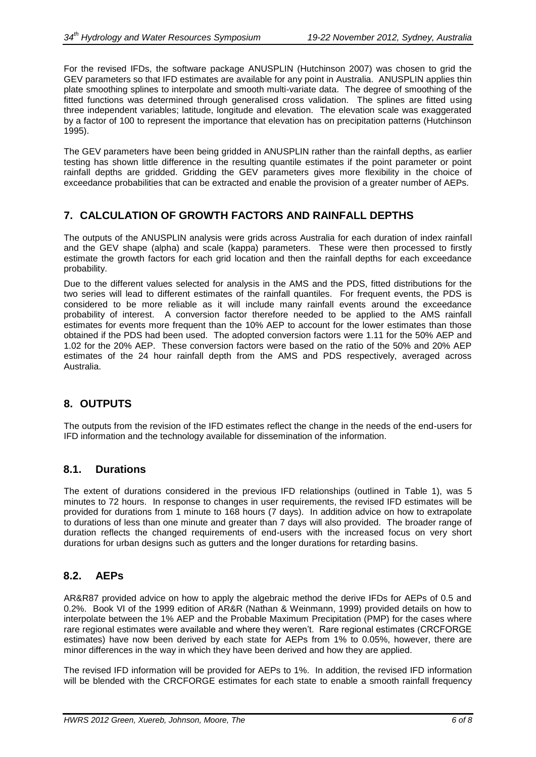For the revised IFDs, the software package ANUSPLIN (Hutchinson 2007) was chosen to grid the GEV parameters so that IFD estimates are available for any point in Australia. ANUSPLIN applies thin plate smoothing splines to interpolate and smooth multi-variate data. The degree of smoothing of the fitted functions was determined through generalised cross validation. The splines are fitted using three independent variables; latitude, longitude and elevation. The elevation scale was exaggerated by a factor of 100 to represent the importance that elevation has on precipitation patterns (Hutchinson 1995).

The GEV parameters have been being gridded in ANUSPLIN rather than the rainfall depths, as earlier testing has shown little difference in the resulting quantile estimates if the point parameter or point rainfall depths are gridded. Gridding the GEV parameters gives more flexibility in the choice of exceedance probabilities that can be extracted and enable the provision of a greater number of AEPs.

# **7. CALCULATION OF GROWTH FACTORS AND RAINFALL DEPTHS**

The outputs of the ANUSPLIN analysis were grids across Australia for each duration of index rainfall and the GEV shape (alpha) and scale (kappa) parameters. These were then processed to firstly estimate the growth factors for each grid location and then the rainfall depths for each exceedance probability.

Due to the different values selected for analysis in the AMS and the PDS, fitted distributions for the two series will lead to different estimates of the rainfall quantiles. For frequent events, the PDS is considered to be more reliable as it will include many rainfall events around the exceedance probability of interest. A conversion factor therefore needed to be applied to the AMS rainfall estimates for events more frequent than the 10% AEP to account for the lower estimates than those obtained if the PDS had been used. The adopted conversion factors were 1.11 for the 50% AEP and 1.02 for the 20% AEP. These conversion factors were based on the ratio of the 50% and 20% AEP estimates of the 24 hour rainfall depth from the AMS and PDS respectively, averaged across Australia.

# **8. OUTPUTS**

The outputs from the revision of the IFD estimates reflect the change in the needs of the end-users for IFD information and the technology available for dissemination of the information.

#### **8.1. Durations**

The extent of durations considered in the previous IFD relationships (outlined in Table 1), was 5 minutes to 72 hours. In response to changes in user requirements, the revised IFD estimates will be provided for durations from 1 minute to 168 hours (7 days). In addition advice on how to extrapolate to durations of less than one minute and greater than 7 days will also provided. The broader range of duration reflects the changed requirements of end-users with the increased focus on very short durations for urban designs such as gutters and the longer durations for retarding basins.

#### **8.2. AEPs**

AR&R87 provided advice on how to apply the algebraic method the derive IFDs for AEPs of 0.5 and 0.2%. Book VI of the 1999 edition of AR&R (Nathan & Weinmann, 1999) provided details on how to interpolate between the 1% AEP and the Probable Maximum Precipitation (PMP) for the cases where rare regional estimates were available and where they weren't. Rare regional estimates (CRCFORGE estimates) have now been derived by each state for AEPs from 1% to 0.05%, however, there are minor differences in the way in which they have been derived and how they are applied.

The revised IFD information will be provided for AEPs to 1%. In addition, the revised IFD information will be blended with the CRCFORGE estimates for each state to enable a smooth rainfall frequency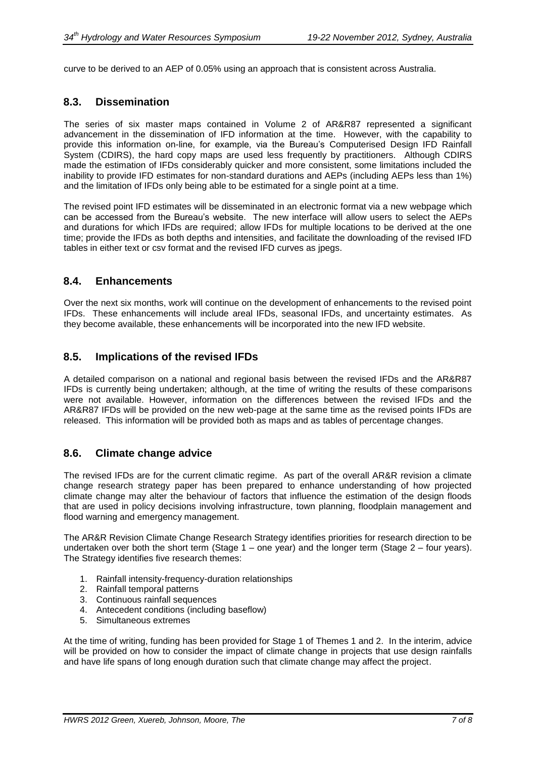curve to be derived to an AEP of 0.05% using an approach that is consistent across Australia.

#### **8.3. Dissemination**

The series of six master maps contained in Volume 2 of AR&R87 represented a significant advancement in the dissemination of IFD information at the time. However, with the capability to provide this information on-line, for example, via the Bureau's Computerised Design IFD Rainfall System (CDIRS), the hard copy maps are used less frequently by practitioners. Although CDIRS made the estimation of IFDs considerably quicker and more consistent, some limitations included the inability to provide IFD estimates for non-standard durations and AEPs (including AEPs less than 1%) and the limitation of IFDs only being able to be estimated for a single point at a time.

The revised point IFD estimates will be disseminated in an electronic format via a new webpage which can be accessed from the Bureau's website. The new interface will allow users to select the AEPs and durations for which IFDs are required; allow IFDs for multiple locations to be derived at the one time; provide the IFDs as both depths and intensities, and facilitate the downloading of the revised IFD tables in either text or csv format and the revised IFD curves as jpegs.

#### **8.4. Enhancements**

Over the next six months, work will continue on the development of enhancements to the revised point IFDs. These enhancements will include areal IFDs, seasonal IFDs, and uncertainty estimates. As they become available, these enhancements will be incorporated into the new IFD website.

#### **8.5. Implications of the revised IFDs**

A detailed comparison on a national and regional basis between the revised IFDs and the AR&R87 IFDs is currently being undertaken; although, at the time of writing the results of these comparisons were not available. However, information on the differences between the revised IFDs and the AR&R87 IFDs will be provided on the new web-page at the same time as the revised points IFDs are released. This information will be provided both as maps and as tables of percentage changes.

#### **8.6. Climate change advice**

The revised IFDs are for the current climatic regime. As part of the overall AR&R revision a climate change research strategy paper has been prepared to enhance understanding of how projected climate change may alter the behaviour of factors that influence the estimation of the design floods that are used in policy decisions involving infrastructure, town planning, floodplain management and flood warning and emergency management.

The AR&R Revision Climate Change Research Strategy identifies priorities for research direction to be undertaken over both the short term (Stage 1 – one year) and the longer term (Stage 2 – four years). The Strategy identifies five research themes:

- 1. Rainfall intensity-frequency-duration relationships
- 2. Rainfall temporal patterns
- 3. Continuous rainfall sequences
- 4. Antecedent conditions (including baseflow)
- 5. Simultaneous extremes

At the time of writing, funding has been provided for Stage 1 of Themes 1 and 2. In the interim, advice will be provided on how to consider the impact of climate change in projects that use design rainfalls and have life spans of long enough duration such that climate change may affect the project.